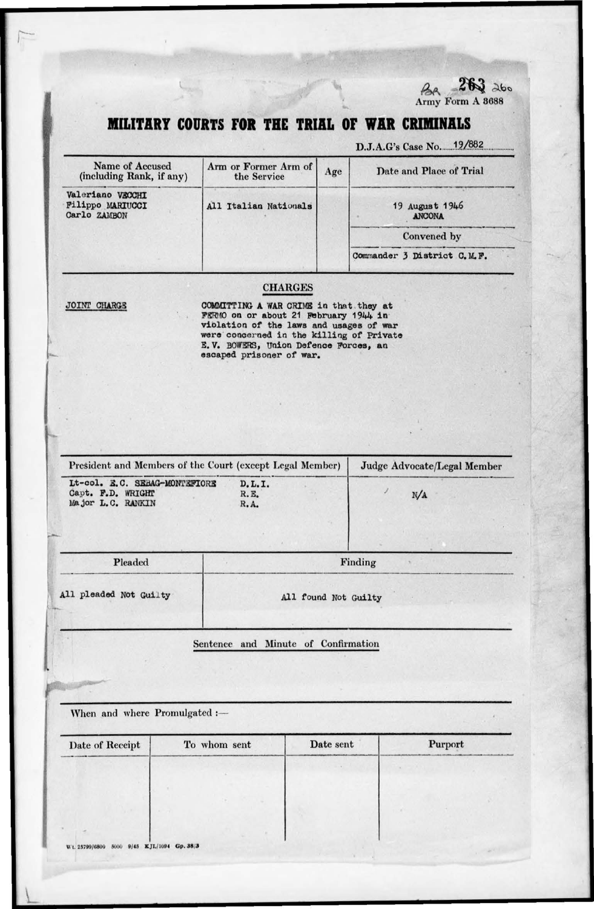

## MILITARY COURTS FOR THE TRIAL OF WAR CRIMINALS

Age

Arm or Former Arm of

the Service

Name of Accused

(including Rank, if any)

Valeriano VSCCHI

D.J.A.G's Case No. 19/882

Date and Place of Trial

Filippo MARIUCCI All Italian Nationals 19 August 1946 Carlo ZAMBON **ANCONA** Convened by Commander 3 District C.M.F. **CHARGES** JOINT CHARGE COMMITTING A WAR CRIME in that they at FERMO on or about 21 February 1944 in violation of the laws and usages of war were concerned in the killing of Private E.V. BOWERS, Union Defence Forces, an escaped prisoner of war. President and Members of the Court (except Legal Member) Judge Advocate/Legal Member Lt-col. E.C. SEBAG-MONTEFIORE D.L.I. Capt. F.D. WRIGHT R.E.  $N/A$ Major L.C. RANKIN R.A. Pleaded Finding All pleaded Not Guilty All found Not Guilty Sentence and Minute of Confirmation When and where Promulgated :-Purport To whom sent Date sent Date of Receipt Wt. 25799/6800 5000 9/45 KJL/1094 Gp. 38/3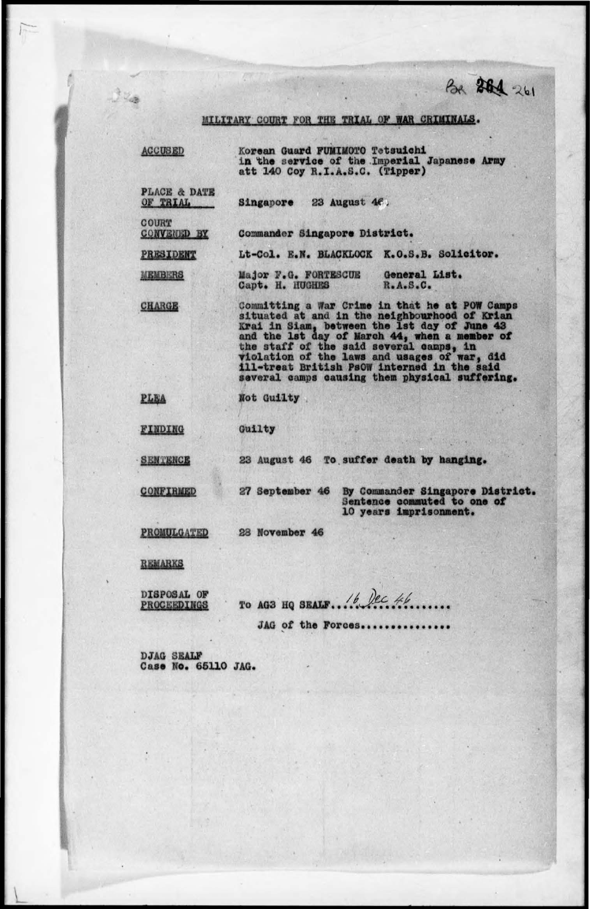Bx 261 261

MILITARY COURT FOR THE TRIAL OF WAR CRIMINALS.

| <b>ACCUSED</b>                      | Korean Guard FUMIMOTO Tetsuichi<br>in the service of the Imperial Japanese Army<br>att 140 Coy R.I.A.S.C. (Tipper)                                                                                                                                                                                                                                                                           |
|-------------------------------------|----------------------------------------------------------------------------------------------------------------------------------------------------------------------------------------------------------------------------------------------------------------------------------------------------------------------------------------------------------------------------------------------|
| <b>PLACE &amp; DATE</b><br>OF TRIAL | Singapore 23 August $46$ .                                                                                                                                                                                                                                                                                                                                                                   |
| COURT<br><b>CONVENED BY</b>         | Commander Singapore District.                                                                                                                                                                                                                                                                                                                                                                |
| PRESIDENT                           | Lt-Col. E.N. BLACKLOCK K.O.S.B. Solicitor.                                                                                                                                                                                                                                                                                                                                                   |
| <b>MEMBERS</b>                      | Major F.G. FORTESCUE General List.<br>Capt. H. HUGHES<br>R.A.S.C.                                                                                                                                                                                                                                                                                                                            |
| <b>CHARGE</b>                       | Committing a War Crime in that he at POW Camps<br>situated at and in the neighbourhood of Krian<br>Krai in Siam, between the 1st day of June 43<br>and the 1st day of March 44, when a member of<br>the staff of the said several camps, in<br>violation of the laws and usages of war, did<br>ill-treat British Ps0W interned in the said<br>several camps causing them physical suffering. |
| PLEA                                | Not Guilty                                                                                                                                                                                                                                                                                                                                                                                   |
| FINDING                             | Guilty                                                                                                                                                                                                                                                                                                                                                                                       |
| <b>SENTENCE</b>                     | 23 August 46 To suffer death by hanging.                                                                                                                                                                                                                                                                                                                                                     |
| <b>CONFIRMED</b>                    | By Commander Singapore District.<br>27 September 46<br>Sentence commuted to one of<br>10 years imprisonment.                                                                                                                                                                                                                                                                                 |
| PROMULGATED                         | 28 November 46                                                                                                                                                                                                                                                                                                                                                                               |
| REMARKS                             |                                                                                                                                                                                                                                                                                                                                                                                              |

DISPOSAL OF<br>PROCEEDINGS

 $12.8$ 

JAG of the Forces..........

DJAG SEALF<br>Case No. 65110 JAG.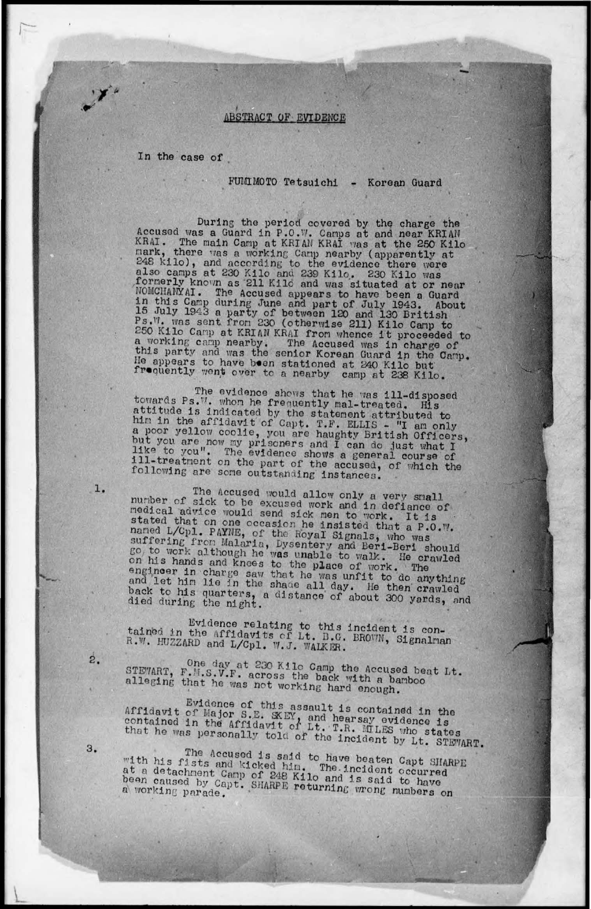## **ABSTRACT OF EVIDENCE**

In the case of

FUMIMOTO Tetsuichi - Korean Guard

During the period covered by the charge the<br>Accused was a Guard in P.O.W. Camps at and near KRIAN KRAI. The main Camp at KRIAN KRAI was at the 250 Kilo<br>nark, there was a working Camp nearby (apparently at<br>248 kilo), and according to the evidence there were also camps at 230 Kilo and 239 Kilo. 230 Kilo was formerly known as 211 Kilo and was situated at or near NOMCHANYAI. The Accused appears to have been a Guard in this Camp during June and part of July 1943. About 15 July 1943 a party of between 120 and 130 British<br>Ps.W. was sent from 230 (otherwise 211) Kilo Camp to 250 Kilo Camp at KRIAN KRAI from whence it proceeded to a working camp nearby. The Accused was in charge of this party and was the senior Korean Guard in the Camp. He appears to have boen stationed at 240 Kilo but froquently went over to a nearby camp at 238 Kilo.

The evidence shows that he was ill-disposed towards Ps.W. whom he frequently mal-treated. His attitude is indicated by the statement attributed to<br>him in the affidavit of Capt. T.F. ELLIS - "I am only a poor yellow coolie, you are haughty British Officers,<br>but you are now my prisoners and I can do just what I<br>like to you". The evidence shows a general course of ill-treatment on the part of the accused, of which the following are some outstanding instances.

The Accused would allow only a very small number of sick to be excused work and in defiance of medical advice would send sick men to work. It is stated that on one occasion he insisted that a P.O.W. named L/Cpl. PAYNE, of the Royal Signals, who was suffering from Malaria, Dysentery and Beri-Beri should go, to work although he was unable to walk. He crawled on his hands and knees to the place of work. The engineer in charge saw that he was unfit to do anything and let him lie in the shade all day. He then crawled back to his quarters, a distance of about 300 yards, and died during the night.

Evidence relating to this incident is con-<br>tained in the Affidavits of Lt. B.G. BROWN, Signalman R.W. HUZZARD and L/Cpl. W.J. WALKER.

One day at 230 Kilo Camp the Accused beat Lt. STEWART, F.M.S.V.F. across the back with a bamboo alleging that he was not working hard enough.

Evidence of this assault is contained in the Affidavit of Major S.E. SKEY, and hearsay evidence is contained in the Affidavit of Lt. T.R. MILES who states that he was personally told of the incident by Lt. STEWART.

The Accused is said to have beaten Capt SHARPE with his fists and kicked him. The incident occurred<br>at a detachment Camp of 248 Kilo and is said to have<br>been caused by Capt. SHARPE returning wrong numbers on

 $\dot{z}$ .

ı.

3.